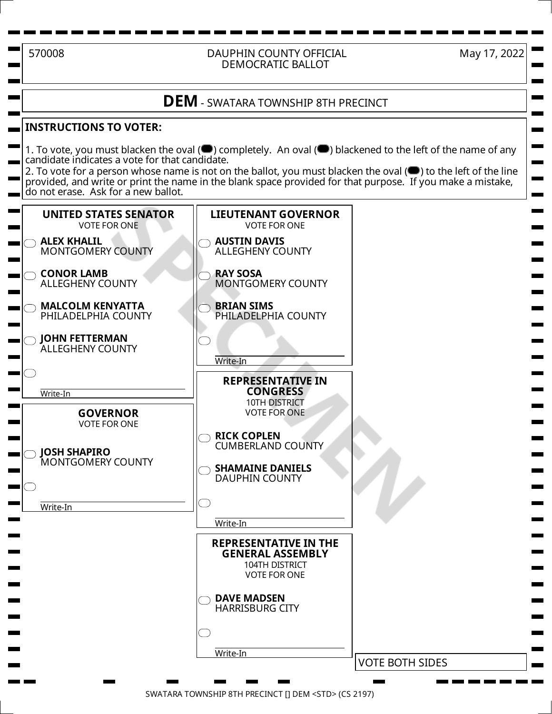## 570008 DAUPHIN COUNTY OFFICIAL DEMOCRATIC BALLOT

May 17, 2022

## **DEM** - SWATARA TOWNSHIP 8TH PRECINCT

## **INSTRUCTIONS TO VOTER:**

1. To vote, you must blacken the oval ( $\blacksquare$ ) completely. An oval ( $\blacksquare$ ) blackened to the left of the name of any candidate indicates a vote for that candidate.

2. To vote for a person whose name is not on the ballot, you must blacken the oval  $(\blacksquare)$  to the left of the line provided, and write or print the name in the blank space provided for that purpose. If you make a mistake, do not erase. Ask for a new ballot.